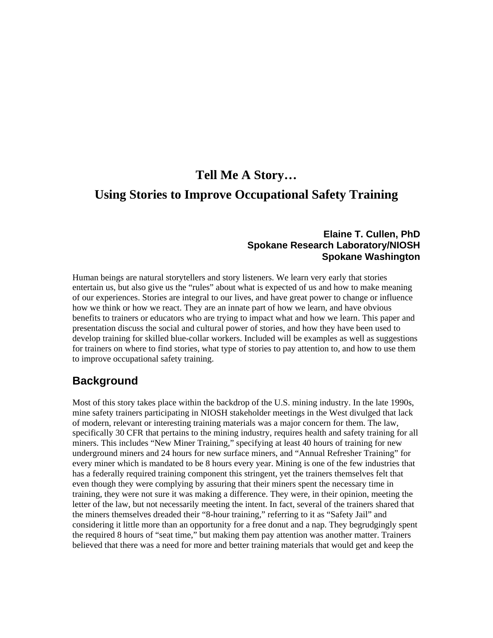# **Tell Me A Story… Using Stories to Improve Occupational Safety Training**

#### **Elaine T. Cullen, PhD Spokane Research Laboratory/NIOSH Spokane Washington**

Human beings are natural storytellers and story listeners. We learn very early that stories entertain us, but also give us the "rules" about what is expected of us and how to make meaning of our experiences. Stories are integral to our lives, and have great power to change or influence how we think or how we react. They are an innate part of how we learn, and have obvious benefits to trainers or educators who are trying to impact what and how we learn. This paper and presentation discuss the social and cultural power of stories, and how they have been used to develop training for skilled blue-collar workers. Included will be examples as well as suggestions for trainers on where to find stories, what type of stories to pay attention to, and how to use them to improve occupational safety training.

# **Background**

Most of this story takes place within the backdrop of the U.S. mining industry. In the late 1990s, mine safety trainers participating in NIOSH stakeholder meetings in the West divulged that lack of modern, relevant or interesting training materials was a major concern for them. The law, specifically 30 CFR that pertains to the mining industry, requires health and safety training for all miners. This includes "New Miner Training," specifying at least 40 hours of training for new underground miners and 24 hours for new surface miners, and "Annual Refresher Training" for every miner which is mandated to be 8 hours every year. Mining is one of the few industries that has a federally required training component this stringent, yet the trainers themselves felt that even though they were complying by assuring that their miners spent the necessary time in training, they were not sure it was making a difference. They were, in their opinion, meeting the letter of the law, but not necessarily meeting the intent. In fact, several of the trainers shared that the miners themselves dreaded their "8-hour training," referring to it as "Safety Jail" and considering it little more than an opportunity for a free donut and a nap. They begrudgingly spent the required 8 hours of "seat time," but making them pay attention was another matter. Trainers believed that there was a need for more and better training materials that would get and keep the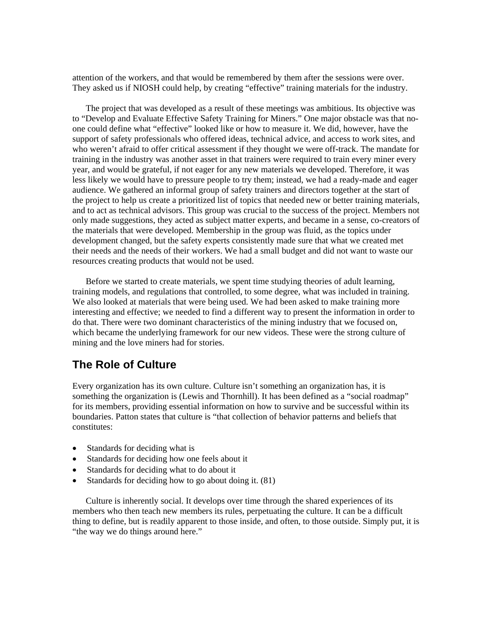attention of the workers, and that would be remembered by them after the sessions were over. They asked us if NIOSH could help, by creating "effective" training materials for the industry.

 The project that was developed as a result of these meetings was ambitious. Its objective was to "Develop and Evaluate Effective Safety Training for Miners." One major obstacle was that noone could define what "effective" looked like or how to measure it. We did, however, have the support of safety professionals who offered ideas, technical advice, and access to work sites, and who weren't afraid to offer critical assessment if they thought we were off-track. The mandate for training in the industry was another asset in that trainers were required to train every miner every year, and would be grateful, if not eager for any new materials we developed. Therefore, it was less likely we would have to pressure people to try them; instead, we had a ready-made and eager audience. We gathered an informal group of safety trainers and directors together at the start of the project to help us create a prioritized list of topics that needed new or better training materials, and to act as technical advisors. This group was crucial to the success of the project. Members not only made suggestions, they acted as subject matter experts, and became in a sense, co-creators of the materials that were developed. Membership in the group was fluid, as the topics under development changed, but the safety experts consistently made sure that what we created met their needs and the needs of their workers. We had a small budget and did not want to waste our resources creating products that would not be used.

 Before we started to create materials, we spent time studying theories of adult learning, training models, and regulations that controlled, to some degree, what was included in training. We also looked at materials that were being used. We had been asked to make training more interesting and effective; we needed to find a different way to present the information in order to do that. There were two dominant characteristics of the mining industry that we focused on, which became the underlying framework for our new videos. These were the strong culture of mining and the love miners had for stories.

### **The Role of Culture**

Every organization has its own culture. Culture isn't something an organization has, it is something the organization is (Lewis and Thornhill). It has been defined as a "social roadmap" for its members, providing essential information on how to survive and be successful within its boundaries. Patton states that culture is "that collection of behavior patterns and beliefs that constitutes:

- Standards for deciding what is
- Standards for deciding how one feels about it
- Standards for deciding what to do about it
- Standards for deciding how to go about doing it. (81)

 Culture is inherently social. It develops over time through the shared experiences of its members who then teach new members its rules, perpetuating the culture. It can be a difficult thing to define, but is readily apparent to those inside, and often, to those outside. Simply put, it is "the way we do things around here."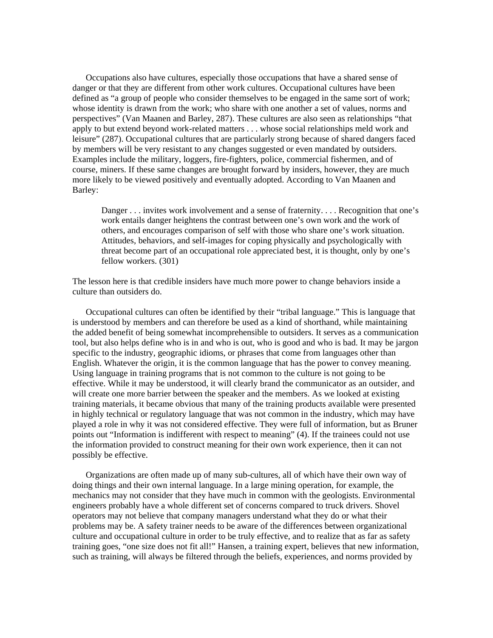Occupations also have cultures, especially those occupations that have a shared sense of danger or that they are different from other work cultures. Occupational cultures have been defined as "a group of people who consider themselves to be engaged in the same sort of work; whose identity is drawn from the work; who share with one another a set of values, norms and perspectives" (Van Maanen and Barley, 287). These cultures are also seen as relationships "that apply to but extend beyond work-related matters . . . whose social relationships meld work and leisure" (287). Occupational cultures that are particularly strong because of shared dangers faced by members will be very resistant to any changes suggested or even mandated by outsiders. Examples include the military, loggers, fire-fighters, police, commercial fishermen, and of course, miners. If these same changes are brought forward by insiders, however, they are much more likely to be viewed positively and eventually adopted. According to Van Maanen and Barley:

Danger . . . invites work involvement and a sense of fraternity. . . . Recognition that one's work entails danger heightens the contrast between one's own work and the work of others, and encourages comparison of self with those who share one's work situation. Attitudes, behaviors, and self-images for coping physically and psychologically with threat become part of an occupational role appreciated best, it is thought, only by one's fellow workers. (301)

The lesson here is that credible insiders have much more power to change behaviors inside a culture than outsiders do.

 Occupational cultures can often be identified by their "tribal language." This is language that is understood by members and can therefore be used as a kind of shorthand, while maintaining the added benefit of being somewhat incomprehensible to outsiders. It serves as a communication tool, but also helps define who is in and who is out, who is good and who is bad. It may be jargon specific to the industry, geographic idioms, or phrases that come from languages other than English. Whatever the origin, it is the common language that has the power to convey meaning. Using language in training programs that is not common to the culture is not going to be effective. While it may be understood, it will clearly brand the communicator as an outsider, and will create one more barrier between the speaker and the members. As we looked at existing training materials, it became obvious that many of the training products available were presented in highly technical or regulatory language that was not common in the industry, which may have played a role in why it was not considered effective. They were full of information, but as Bruner points out "Information is indifferent with respect to meaning" (4). If the trainees could not use the information provided to construct meaning for their own work experience, then it can not possibly be effective.

 Organizations are often made up of many sub-cultures, all of which have their own way of doing things and their own internal language. In a large mining operation, for example, the mechanics may not consider that they have much in common with the geologists. Environmental engineers probably have a whole different set of concerns compared to truck drivers. Shovel operators may not believe that company managers understand what they do or what their problems may be. A safety trainer needs to be aware of the differences between organizational culture and occupational culture in order to be truly effective, and to realize that as far as safety training goes, "one size does not fit all!" Hansen, a training expert, believes that new information, such as training, will always be filtered through the beliefs, experiences, and norms provided by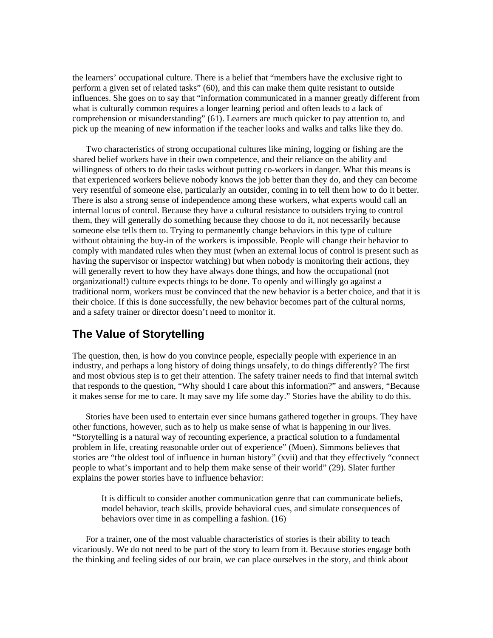the learners' occupational culture. There is a belief that "members have the exclusive right to perform a given set of related tasks" (60), and this can make them quite resistant to outside influences. She goes on to say that "information communicated in a manner greatly different from what is culturally common requires a longer learning period and often leads to a lack of comprehension or misunderstanding" (61). Learners are much quicker to pay attention to, and pick up the meaning of new information if the teacher looks and walks and talks like they do.

 Two characteristics of strong occupational cultures like mining, logging or fishing are the shared belief workers have in their own competence, and their reliance on the ability and willingness of others to do their tasks without putting co-workers in danger. What this means is that experienced workers believe nobody knows the job better than they do, and they can become very resentful of someone else, particularly an outsider, coming in to tell them how to do it better. There is also a strong sense of independence among these workers, what experts would call an internal locus of control. Because they have a cultural resistance to outsiders trying to control them, they will generally do something because they choose to do it, not necessarily because someone else tells them to. Trying to permanently change behaviors in this type of culture without obtaining the buy-in of the workers is impossible. People will change their behavior to comply with mandated rules when they must (when an external locus of control is present such as having the supervisor or inspector watching) but when nobody is monitoring their actions, they will generally revert to how they have always done things, and how the occupational (not organizational!) culture expects things to be done. To openly and willingly go against a traditional norm, workers must be convinced that the new behavior is a better choice, and that it is their choice. If this is done successfully, the new behavior becomes part of the cultural norms, and a safety trainer or director doesn't need to monitor it.

# **The Value of Storytelling**

The question, then, is how do you convince people, especially people with experience in an industry, and perhaps a long history of doing things unsafely, to do things differently? The first and most obvious step is to get their attention. The safety trainer needs to find that internal switch that responds to the question, "Why should I care about this information?" and answers, "Because it makes sense for me to care. It may save my life some day." Stories have the ability to do this.

 Stories have been used to entertain ever since humans gathered together in groups. They have other functions, however, such as to help us make sense of what is happening in our lives. "Storytelling is a natural way of recounting experience, a practical solution to a fundamental problem in life, creating reasonable order out of experience" (Moen). Simmons believes that stories are "the oldest tool of influence in human history" (xvii) and that they effectively "connect people to what's important and to help them make sense of their world" (29). Slater further explains the power stories have to influence behavior:

It is difficult to consider another communication genre that can communicate beliefs, model behavior, teach skills, provide behavioral cues, and simulate consequences of behaviors over time in as compelling a fashion. (16)

 For a trainer, one of the most valuable characteristics of stories is their ability to teach vicariously. We do not need to be part of the story to learn from it. Because stories engage both the thinking and feeling sides of our brain, we can place ourselves in the story, and think about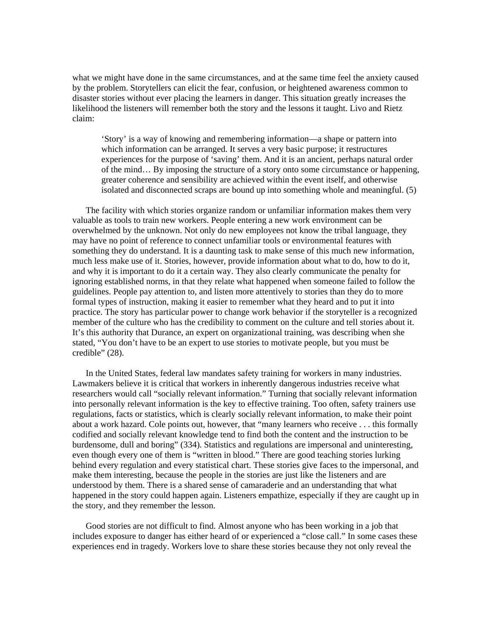what we might have done in the same circumstances, and at the same time feel the anxiety caused by the problem. Storytellers can elicit the fear, confusion, or heightened awareness common to disaster stories without ever placing the learners in danger. This situation greatly increases the likelihood the listeners will remember both the story and the lessons it taught. Livo and Rietz claim:

'Story' is a way of knowing and remembering information—a shape or pattern into which information can be arranged. It serves a very basic purpose; it restructures experiences for the purpose of 'saving' them. And it is an ancient, perhaps natural order of the mind… By imposing the structure of a story onto some circumstance or happening, greater coherence and sensibility are achieved within the event itself, and otherwise isolated and disconnected scraps are bound up into something whole and meaningful. (5)

 The facility with which stories organize random or unfamiliar information makes them very valuable as tools to train new workers. People entering a new work environment can be overwhelmed by the unknown. Not only do new employees not know the tribal language, they may have no point of reference to connect unfamiliar tools or environmental features with something they do understand. It is a daunting task to make sense of this much new information, much less make use of it. Stories, however, provide information about what to do, how to do it, and why it is important to do it a certain way. They also clearly communicate the penalty for ignoring established norms, in that they relate what happened when someone failed to follow the guidelines. People pay attention to, and listen more attentively to stories than they do to more formal types of instruction, making it easier to remember what they heard and to put it into practice. The story has particular power to change work behavior if the storyteller is a recognized member of the culture who has the credibility to comment on the culture and tell stories about it. It's this authority that Durance, an expert on organizational training, was describing when she stated, "You don't have to be an expert to use stories to motivate people, but you must be credible" (28).

 In the United States, federal law mandates safety training for workers in many industries. Lawmakers believe it is critical that workers in inherently dangerous industries receive what researchers would call "socially relevant information." Turning that socially relevant information into personally relevant information is the key to effective training. Too often, safety trainers use regulations, facts or statistics, which is clearly socially relevant information, to make their point about a work hazard. Cole points out, however, that "many learners who receive . . . this formally codified and socially relevant knowledge tend to find both the content and the instruction to be burdensome, dull and boring" (334). Statistics and regulations are impersonal and uninteresting, even though every one of them is "written in blood." There are good teaching stories lurking behind every regulation and every statistical chart. These stories give faces to the impersonal, and make them interesting, because the people in the stories are just like the listeners and are understood by them. There is a shared sense of camaraderie and an understanding that what happened in the story could happen again. Listeners empathize, especially if they are caught up in the story, and they remember the lesson.

 Good stories are not difficult to find. Almost anyone who has been working in a job that includes exposure to danger has either heard of or experienced a "close call." In some cases these experiences end in tragedy. Workers love to share these stories because they not only reveal the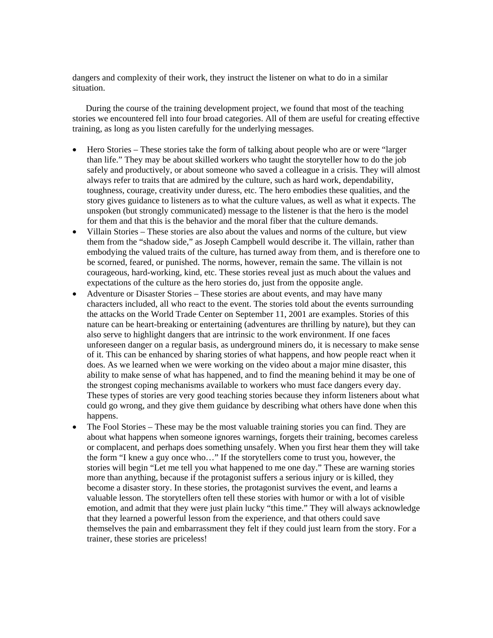dangers and complexity of their work, they instruct the listener on what to do in a similar situation.

 During the course of the training development project, we found that most of the teaching stories we encountered fell into four broad categories. All of them are useful for creating effective training, as long as you listen carefully for the underlying messages.

- Hero Stories These stories take the form of talking about people who are or were "larger" than life." They may be about skilled workers who taught the storyteller how to do the job safely and productively, or about someone who saved a colleague in a crisis. They will almost always refer to traits that are admired by the culture, such as hard work, dependability, toughness, courage, creativity under duress, etc. The hero embodies these qualities, and the story gives guidance to listeners as to what the culture values, as well as what it expects. The unspoken (but strongly communicated) message to the listener is that the hero is the model for them and that this is the behavior and the moral fiber that the culture demands.
- Villain Stories These stories are also about the values and norms of the culture, but view them from the "shadow side," as Joseph Campbell would describe it. The villain, rather than embodying the valued traits of the culture, has turned away from them, and is therefore one to be scorned, feared, or punished. The norms, however, remain the same. The villain is not courageous, hard-working, kind, etc. These stories reveal just as much about the values and expectations of the culture as the hero stories do, just from the opposite angle.
- Adventure or Disaster Stories These stories are about events, and may have many characters included, all who react to the event. The stories told about the events surrounding the attacks on the World Trade Center on September 11, 2001 are examples. Stories of this nature can be heart-breaking or entertaining (adventures are thrilling by nature), but they can also serve to highlight dangers that are intrinsic to the work environment. If one faces unforeseen danger on a regular basis, as underground miners do, it is necessary to make sense of it. This can be enhanced by sharing stories of what happens, and how people react when it does. As we learned when we were working on the video about a major mine disaster, this ability to make sense of what has happened, and to find the meaning behind it may be one of the strongest coping mechanisms available to workers who must face dangers every day. These types of stories are very good teaching stories because they inform listeners about what could go wrong, and they give them guidance by describing what others have done when this happens.
- The Fool Stories These may be the most valuable training stories you can find. They are about what happens when someone ignores warnings, forgets their training, becomes careless or complacent, and perhaps does something unsafely. When you first hear them they will take the form "I knew a guy once who…" If the storytellers come to trust you, however, the stories will begin "Let me tell you what happened to me one day." These are warning stories more than anything, because if the protagonist suffers a serious injury or is killed, they become a disaster story. In these stories, the protagonist survives the event, and learns a valuable lesson. The storytellers often tell these stories with humor or with a lot of visible emotion, and admit that they were just plain lucky "this time." They will always acknowledge that they learned a powerful lesson from the experience, and that others could save themselves the pain and embarrassment they felt if they could just learn from the story. For a trainer, these stories are priceless!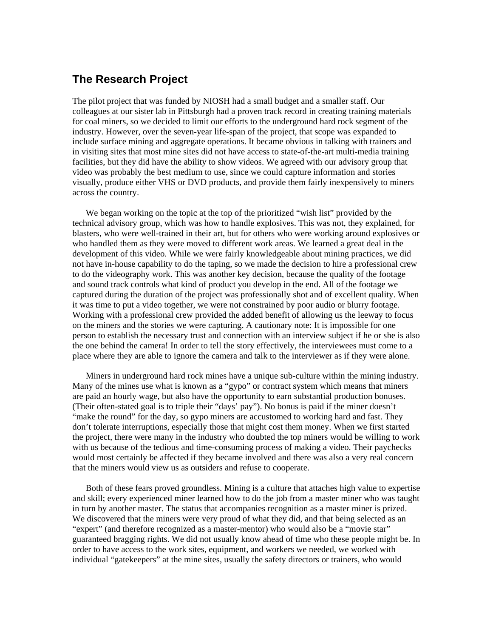# **The Research Project**

The pilot project that was funded by NIOSH had a small budget and a smaller staff. Our colleagues at our sister lab in Pittsburgh had a proven track record in creating training materials for coal miners, so we decided to limit our efforts to the underground hard rock segment of the industry. However, over the seven-year life-span of the project, that scope was expanded to include surface mining and aggregate operations. It became obvious in talking with trainers and in visiting sites that most mine sites did not have access to state-of-the-art multi-media training facilities, but they did have the ability to show videos. We agreed with our advisory group that video was probably the best medium to use, since we could capture information and stories visually, produce either VHS or DVD products, and provide them fairly inexpensively to miners across the country.

 We began working on the topic at the top of the prioritized "wish list" provided by the technical advisory group, which was how to handle explosives. This was not, they explained, for blasters, who were well-trained in their art, but for others who were working around explosives or who handled them as they were moved to different work areas. We learned a great deal in the development of this video. While we were fairly knowledgeable about mining practices, we did not have in-house capability to do the taping, so we made the decision to hire a professional crew to do the videography work. This was another key decision, because the quality of the footage and sound track controls what kind of product you develop in the end. All of the footage we captured during the duration of the project was professionally shot and of excellent quality. When it was time to put a video together, we were not constrained by poor audio or blurry footage. Working with a professional crew provided the added benefit of allowing us the leeway to focus on the miners and the stories we were capturing. A cautionary note: It is impossible for one person to establish the necessary trust and connection with an interview subject if he or she is also the one behind the camera! In order to tell the story effectively, the interviewees must come to a place where they are able to ignore the camera and talk to the interviewer as if they were alone.

 Miners in underground hard rock mines have a unique sub-culture within the mining industry. Many of the mines use what is known as a "gypo" or contract system which means that miners are paid an hourly wage, but also have the opportunity to earn substantial production bonuses. (Their often-stated goal is to triple their "days' pay"). No bonus is paid if the miner doesn't "make the round" for the day, so gypo miners are accustomed to working hard and fast. They don't tolerate interruptions, especially those that might cost them money. When we first started the project, there were many in the industry who doubted the top miners would be willing to work with us because of the tedious and time-consuming process of making a video. Their paychecks would most certainly be affected if they became involved and there was also a very real concern that the miners would view us as outsiders and refuse to cooperate.

 Both of these fears proved groundless. Mining is a culture that attaches high value to expertise and skill; every experienced miner learned how to do the job from a master miner who was taught in turn by another master. The status that accompanies recognition as a master miner is prized. We discovered that the miners were very proud of what they did, and that being selected as an "expert" (and therefore recognized as a master-mentor) who would also be a "movie star" guaranteed bragging rights. We did not usually know ahead of time who these people might be. In order to have access to the work sites, equipment, and workers we needed, we worked with individual "gatekeepers" at the mine sites, usually the safety directors or trainers, who would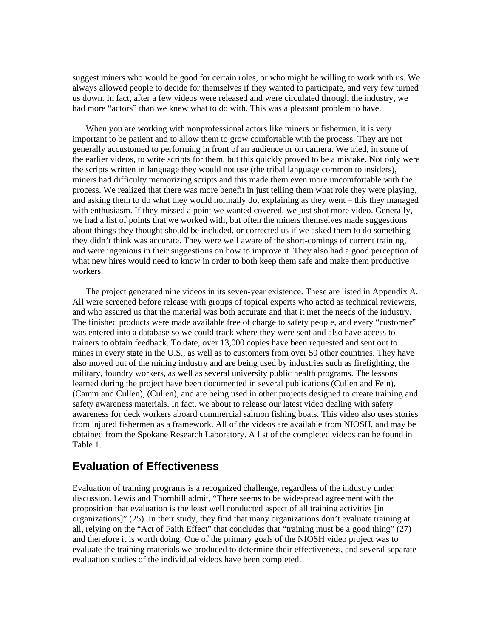suggest miners who would be good for certain roles, or who might be willing to work with us. We always allowed people to decide for themselves if they wanted to participate, and very few turned us down. In fact, after a few videos were released and were circulated through the industry, we had more "actors" than we knew what to do with. This was a pleasant problem to have.

 When you are working with nonprofessional actors like miners or fishermen, it is very important to be patient and to allow them to grow comfortable with the process. They are not generally accustomed to performing in front of an audience or on camera. We tried, in some of the earlier videos, to write scripts for them, but this quickly proved to be a mistake. Not only were the scripts written in language they would not use (the tribal language common to insiders), miners had difficulty memorizing scripts and this made them even more uncomfortable with the process. We realized that there was more benefit in just telling them what role they were playing, and asking them to do what they would normally do, explaining as they went – this they managed with enthusiasm. If they missed a point we wanted covered, we just shot more video. Generally, we had a list of points that we worked with, but often the miners themselves made suggestions about things they thought should be included, or corrected us if we asked them to do something they didn't think was accurate. They were well aware of the short-comings of current training, and were ingenious in their suggestions on how to improve it. They also had a good perception of what new hires would need to know in order to both keep them safe and make them productive workers.

 The project generated nine videos in its seven-year existence. These are listed in Appendix A. All were screened before release with groups of topical experts who acted as technical reviewers, and who assured us that the material was both accurate and that it met the needs of the industry. The finished products were made available free of charge to safety people, and every "customer" was entered into a database so we could track where they were sent and also have access to trainers to obtain feedback. To date, over 13,000 copies have been requested and sent out to mines in every state in the U.S., as well as to customers from over 50 other countries. They have also moved out of the mining industry and are being used by industries such as firefighting, the military, foundry workers, as well as several university public health programs. The lessons learned during the project have been documented in several publications (Cullen and Fein), (Camm and Cullen), (Cullen), and are being used in other projects designed to create training and safety awareness materials. In fact, we about to release our latest video dealing with safety awareness for deck workers aboard commercial salmon fishing boats. This video also uses stories from injured fishermen as a framework. All of the videos are available from NIOSH, and may be obtained from the Spokane Research Laboratory. A list of the completed videos can be found in Table 1.

### **Evaluation of Effectiveness**

Evaluation of training programs is a recognized challenge, regardless of the industry under discussion. Lewis and Thornhill admit, "There seems to be widespread agreement with the proposition that evaluation is the least well conducted aspect of all training activities [in organizations]" (25). In their study, they find that many organizations don't evaluate training at all, relying on the "Act of Faith Effect" that concludes that "training must be a good thing" (27) and therefore it is worth doing. One of the primary goals of the NIOSH video project was to evaluate the training materials we produced to determine their effectiveness, and several separate evaluation studies of the individual videos have been completed.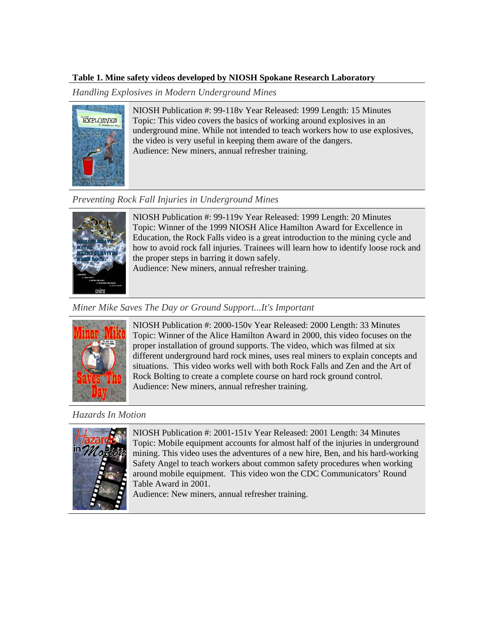#### **Table 1. Mine safety videos developed by NIOSH Spokane Research Laboratory**

*Handling Explosives in Modern Underground Mines* 



NIOSH Publication #: 99-118v Year Released: 1999 Length: 15 Minutes Topic: This video covers the basics of working around explosives in an underground mine. While not intended to teach workers how to use explosives, the video is very useful in keeping them aware of the dangers. Audience: New miners, annual refresher training.

# *Preventing Rock Fall Injuries in Underground Mines*



NIOSH Publication #: 99-119v Year Released: 1999 Length: 20 Minutes Topic: Winner of the 1999 NIOSH Alice Hamilton Award for Excellence in Education, the Rock Falls video is a great introduction to the mining cycle and how to avoid rock fall injuries. Trainees will learn how to identify loose rock and the proper steps in barring it down safely.

Audience: New miners, annual refresher training.

### *Miner Mike Saves The Day or Ground Support...It's Important*



NIOSH Publication #: 2000-150v Year Released: 2000 Length: 33 Minutes Topic: Winner of the Alice Hamilton Award in 2000, this video focuses on the proper installation of ground supports. The video, which was filmed at six different underground hard rock mines, uses real miners to explain concepts and situations. This video works well with both Rock Falls and Zen and the Art of Rock Bolting to create a complete course on hard rock ground control. Audience: New miners, annual refresher training.

#### *Hazards In Motion*



NIOSH Publication #: 2001-151v Year Released: 2001 Length: 34 Minutes Topic: Mobile equipment accounts for almost half of the injuries in underground mining. This video uses the adventures of a new hire, Ben, and his hard-working Safety Angel to teach workers about common safety procedures when working around mobile equipment. This video won the CDC Communicators' Round Table Award in 2001.

Audience: New miners, annual refresher training.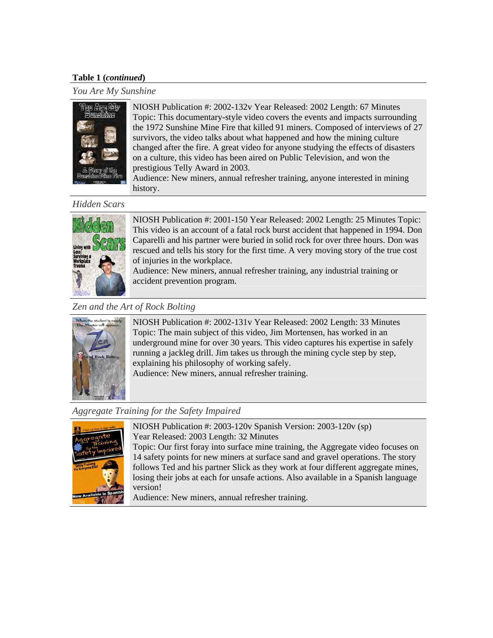#### **Table 1 (***continued***)**

*You Are My Sunshine* 



NIOSH Publication #: 2002-132v Year Released: 2002 Length: 67 Minutes Topic: This documentary-style video covers the events and impacts surrounding the 1972 Sunshine Mine Fire that killed 91 miners. Composed of interviews of 27 survivors, the video talks about what happened and how the mining culture changed after the fire. A great video for anyone studying the effects of disasters on a culture, this video has been aired on Public Television, and won the prestigious Telly Award in 2003.

Audience: New miners, annual refresher training, anyone interested in mining history.

#### *Hidden Scars*



NIOSH Publication #: 2001-150 Year Released: 2002 Length: 25 Minutes Topic: This video is an account of a fatal rock burst accident that happened in 1994. Don Caparelli and his partner were buried in solid rock for over three hours. Don was rescued and tells his story for the first time. A very moving story of the true cost of injuries in the workplace.

Audience: New miners, annual refresher training, any industrial training or accident prevention program.

#### *Zen and the Art of Rock Bolting*



NIOSH Publication #: 2002-131v Year Released: 2002 Length: 33 Minutes Topic: The main subject of this video, Jim Mortensen, has worked in an underground mine for over 30 years. This video captures his expertise in safely running a jackleg drill. Jim takes us through the mining cycle step by step, explaining his philosophy of working safely. Audience: New miners, annual refresher training.

#### *Aggregate Training for the Safety Impaired*



NIOSH Publication #: 2003-120v Spanish Version: 2003-120v (sp) Year Released: 2003 Length: 32 Minutes

Topic: Our first foray into surface mine training, the Aggregate video focuses on 14 safety points for new miners at surface sand and gravel operations. The story follows Ted and his partner Slick as they work at four different aggregate mines, losing their jobs at each for unsafe actions. Also available in a Spanish language version!

Audience: New miners, annual refresher training.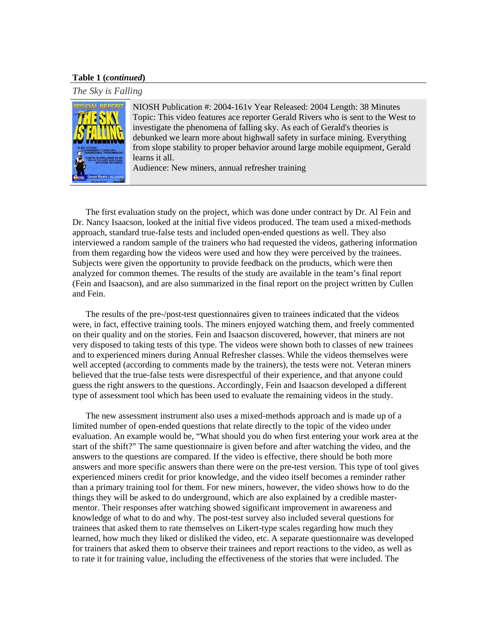#### **Table 1 (***continued***)**

*The Sky is Falling* 



NIOSH Publication #: 2004-161v Year Released: 2004 Length: 38 Minutes Topic: This video features ace reporter Gerald Rivers who is sent to the West to investigate the phenomena of falling sky. As each of Gerald's theories is debunked we learn more about highwall safety in surface mining. Everything from slope stability to proper behavior around large mobile equipment, Gerald learns it all.

Audience: New miners, annual refresher training

 The first evaluation study on the project, which was done under contract by Dr. Al Fein and Dr. Nancy Isaacson, looked at the initial five videos produced. The team used a mixed-methods approach, standard true-false tests and included open-ended questions as well. They also interviewed a random sample of the trainers who had requested the videos, gathering information from them regarding how the videos were used and how they were perceived by the trainees. Subjects were given the opportunity to provide feedback on the products, which were then analyzed for common themes. The results of the study are available in the team's final report (Fein and Isaacson), and are also summarized in the final report on the project written by Cullen and Fein.

 The results of the pre-/post-test questionnaires given to trainees indicated that the videos were, in fact, effective training tools. The miners enjoyed watching them, and freely commented on their quality and on the stories. Fein and Isaacson discovered, however, that miners are not very disposed to taking tests of this type. The videos were shown both to classes of new trainees and to experienced miners during Annual Refresher classes. While the videos themselves were well accepted (according to comments made by the trainers), the tests were not. Veteran miners believed that the true-false tests were disrespectful of their experience, and that anyone could guess the right answers to the questions. Accordingly, Fein and Isaacson developed a different type of assessment tool which has been used to evaluate the remaining videos in the study.

 The new assessment instrument also uses a mixed-methods approach and is made up of a limited number of open-ended questions that relate directly to the topic of the video under evaluation. An example would be, "What should you do when first entering your work area at the start of the shift?" The same questionnaire is given before and after watching the video, and the answers to the questions are compared. If the video is effective, there should be both more answers and more specific answers than there were on the pre-test version. This type of tool gives experienced miners credit for prior knowledge, and the video itself becomes a reminder rather than a primary training tool for them. For new miners, however, the video shows how to do the things they will be asked to do underground, which are also explained by a credible mastermentor. Their responses after watching showed significant improvement in awareness and knowledge of what to do and why. The post-test survey also included several questions for trainees that asked them to rate themselves on Likert-type scales regarding how much they learned, how much they liked or disliked the video, etc. A separate questionnaire was developed for trainers that asked them to observe their trainees and report reactions to the video, as well as to rate it for training value, including the effectiveness of the stories that were included. The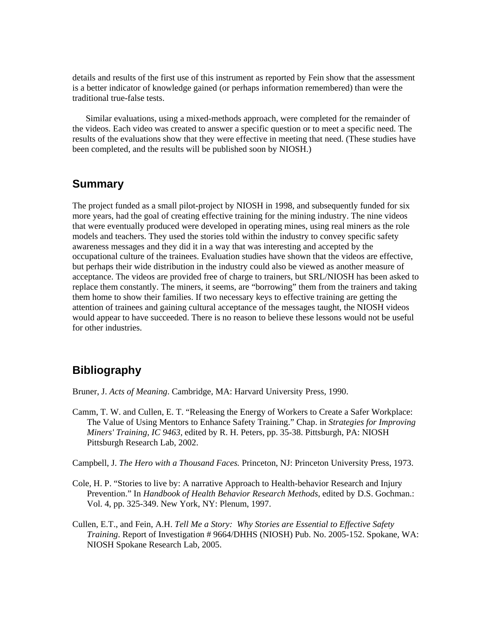details and results of the first use of this instrument as reported by Fein show that the assessment is a better indicator of knowledge gained (or perhaps information remembered) than were the traditional true-false tests.

 Similar evaluations, using a mixed-methods approach, were completed for the remainder of the videos. Each video was created to answer a specific question or to meet a specific need. The results of the evaluations show that they were effective in meeting that need. (These studies have been completed, and the results will be published soon by NIOSH.)

### **Summary**

The project funded as a small pilot-project by NIOSH in 1998, and subsequently funded for six more years, had the goal of creating effective training for the mining industry. The nine videos that were eventually produced were developed in operating mines, using real miners as the role models and teachers. They used the stories told within the industry to convey specific safety awareness messages and they did it in a way that was interesting and accepted by the occupational culture of the trainees. Evaluation studies have shown that the videos are effective, but perhaps their wide distribution in the industry could also be viewed as another measure of acceptance. The videos are provided free of charge to trainers, but SRL/NIOSH has been asked to replace them constantly. The miners, it seems, are "borrowing" them from the trainers and taking them home to show their families. If two necessary keys to effective training are getting the attention of trainees and gaining cultural acceptance of the messages taught, the NIOSH videos would appear to have succeeded. There is no reason to believe these lessons would not be useful for other industries.

# **Bibliography**

Bruner, J. *Acts of Meaning*. Cambridge, MA: Harvard University Press, 1990.

Camm, T. W. and Cullen, E. T. "Releasing the Energy of Workers to Create a Safer Workplace: The Value of Using Mentors to Enhance Safety Training." Chap. in *Strategies for Improving Miners' Training, IC 9463,* edited by R. H. Peters, pp. 35-38. Pittsburgh, PA: NIOSH Pittsburgh Research Lab, 2002.

Campbell, J. *The Hero with a Thousand Faces.* Princeton, NJ: Princeton University Press, 1973.

- Cole, H. P. "Stories to live by: A narrative Approach to Health-behavior Research and Injury Prevention." In *Handbook of Health Behavior Research Methods*, edited by D.S. Gochman.: Vol. 4, pp. 325-349. New York, NY: Plenum, 1997.
- Cullen, E.T., and Fein, A.H. *Tell Me a Story: Why Stories are Essential to Effective Safety Training*. Report of Investigation # 9664/DHHS (NIOSH) Pub. No. 2005-152. Spokane, WA: NIOSH Spokane Research Lab, 2005.